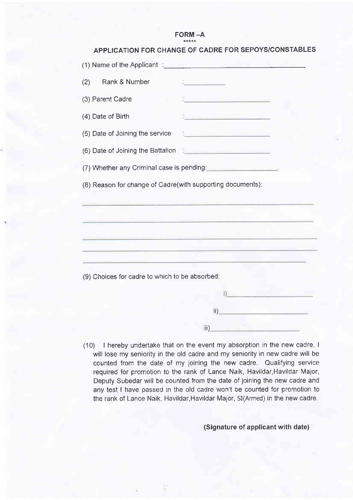# $FORM - A$

|                                                                                                                                                                                                                               | APPLICATION FOR CHANGE OF CADRE FOR SEPOYS/CONSTABLES                                                                                                                                                                                                                                            |
|-------------------------------------------------------------------------------------------------------------------------------------------------------------------------------------------------------------------------------|--------------------------------------------------------------------------------------------------------------------------------------------------------------------------------------------------------------------------------------------------------------------------------------------------|
|                                                                                                                                                                                                                               | (1) Name of the Applicant : All and the Applicant of the Applicant of the Applicant of the Applicant of the Applicant of the Applicant of the Applicant of the Applicant of the Applicant of the Applicant of the Applicant of                                                                   |
| Rank & Number<br>(2)                                                                                                                                                                                                          | <b>Contract Contract Contract Contract</b>                                                                                                                                                                                                                                                       |
| (3) Parent Cadre                                                                                                                                                                                                              |                                                                                                                                                                                                                                                                                                  |
| (4) Date of Birth                                                                                                                                                                                                             | <u> 1950 - Johann Barnett, fiz</u>                                                                                                                                                                                                                                                               |
| (5) Date of Joining the service                                                                                                                                                                                               | <u> 19 de abrel de la componenta</u>                                                                                                                                                                                                                                                             |
| (6) Date of Joining the Battalion (1) The Commission of the Commission of the Commission of the Commission of the Commission of the Commission of the Commission of the Commission of the Commission of the Commission of the |                                                                                                                                                                                                                                                                                                  |
|                                                                                                                                                                                                                               | (7) Whether any Criminal case is pending:                                                                                                                                                                                                                                                        |
| (8) Reason for change of Gadre(with supporting documents):                                                                                                                                                                    | <u> 1990 - Antonio Antonio Antonio Antonio Antonio Antonio Antonio Antonio Antonio Antonio Antonio Antonio Antonio</u><br><u>e e de la característica de la característica de la característica de la característica de la característica d</u><br><u> 1999 - Johann Marie Hermann, amerikan</u> |
| (9) Choices for cadre to which to be absorbed:                                                                                                                                                                                | the control of the control of the control of the control of the control of the control of<br><u> 2001 - John Stone Barnett, amerikan besteckt in der stadt i den stadt i den stadt i den stadt i den stadt i d</u>                                                                               |
|                                                                                                                                                                                                                               | الواقعة والمرابط                                                                                                                                                                                                                                                                                 |
|                                                                                                                                                                                                                               | <u> André Marie de la Caracc</u><br>ii)                                                                                                                                                                                                                                                          |

(10) | hereby undertake that on the event my absorption in the new cadre, I will lose my seniority in the old cadre and my seniority in new cadre will be counted from the date of my joining the new cadre. Qualifying service required for promotion to the rank of Lance Naik, Havildar, Havildar Major, Deputy Subedar will be counted from the date of joining the new cadre and any test I have passed in the old cadre won't be counted for promotion to the rank of Lance Naik, Havildar, Havildar Major, SI(Armed) in the new cadre.

iii)

#### (Signature of applicant with date)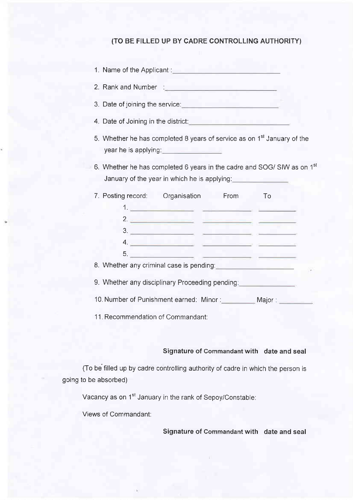### (TO BE FILLED UP BY CADRE CONTROLLING AUTHORITY)

| 1. Name of the Applicant: |  |
|---------------------------|--|
|                           |  |

2. Rank and Number :

- 3. Date of joining the service:
- 4. Date of Joining in the district:
- 5. Whether he has completed 8 years of service as on  $1<sup>st</sup>$  January of the year he is applying:

<u> The Common School and The Common School and The Common School and</u>

6. Whether he has completed 6 years in the cadre and SOG/ SIW as on 1<sup>st</sup> January of the year in which he is applying:

| 7. Posting record: Crganisation                                                                                                                                                                                                      |                                     | From | To      |  |
|--------------------------------------------------------------------------------------------------------------------------------------------------------------------------------------------------------------------------------------|-------------------------------------|------|---------|--|
|                                                                                                                                                                                                                                      |                                     |      |         |  |
|                                                                                                                                                                                                                                      | 2.32                                |      |         |  |
| 3.                                                                                                                                                                                                                                   | <u> Andrew Marian Marian (1989)</u> |      |         |  |
| 4.                                                                                                                                                                                                                                   |                                     |      |         |  |
| 5.                                                                                                                                                                                                                                   | and the control of the control      |      |         |  |
| 8. Whether any criminal case is pending: <b>All any of the set of the set of the set of the set of the set of the set of the set of the set of the set of the set of the set of the set of the set of the set of the set of the </b> |                                     |      |         |  |
| 9. Whether any disciplinary Proceeding pending: The Contract of the Contract of the Contract of the Contract o                                                                                                                       |                                     |      |         |  |
| 10. Number of Punishment earned: Minor:                                                                                                                                                                                              |                                     |      | Major : |  |

11. Recommendation of Commandant:

#### Signature of Commandant with date and seal

(To be filled up by cadre controlling authority of cadre in which the person is going to be absorbed)

Vacancy as on 1<sup>st</sup> January in the rank of Sepoy/Constable:

Views of Commandant:

Signature of Commandant with date and seal